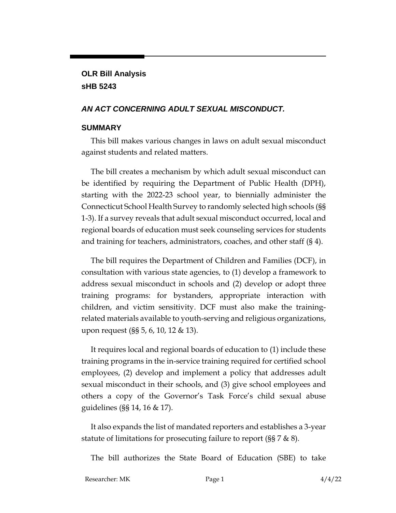# **OLR Bill Analysis sHB 5243**

#### *AN ACT CONCERNING ADULT SEXUAL MISCONDUCT.*

#### **SUMMARY**

This bill makes various changes in laws on adult sexual misconduct against students and related matters.

The bill creates a mechanism by which adult sexual misconduct can be identified by requiring the Department of Public Health (DPH), starting with the 2022-23 school year, to biennially administer the Connecticut School Health Survey to randomly selected high schools (§§ 1-3). If a survey reveals that adult sexual misconduct occurred, local and regional boards of education must seek counseling services for students and training for teachers, administrators, coaches, and other staff (§ 4).

The bill requires the Department of Children and Families (DCF), in consultation with various state agencies, to (1) develop a framework to address sexual misconduct in schools and (2) develop or adopt three training programs: for bystanders, appropriate interaction with children, and victim sensitivity. DCF must also make the trainingrelated materials available to youth-serving and religious organizations, upon request (§§ 5, 6, 10, 12 & 13).

It requires local and regional boards of education to (1) include these training programs in the in-service training required for certified school employees, (2) develop and implement a policy that addresses adult sexual misconduct in their schools, and (3) give school employees and others a copy of the Governor's Task Force's child sexual abuse guidelines (§§ 14, 16 & 17).

It also expands the list of mandated reporters and establishes a 3-year statute of limitations for prosecuting failure to report (§§ 7 & 8).

The bill authorizes the State Board of Education (SBE) to take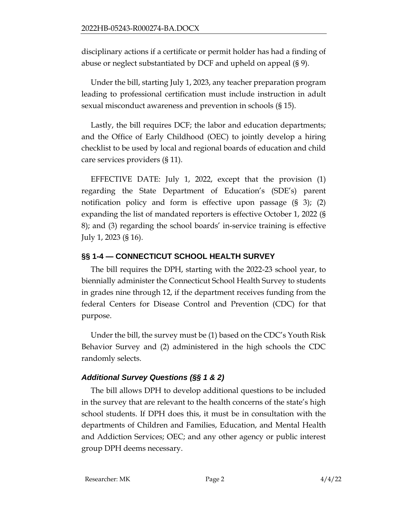disciplinary actions if a certificate or permit holder has had a finding of abuse or neglect substantiated by DCF and upheld on appeal (§ 9).

Under the bill, starting July 1, 2023, any teacher preparation program leading to professional certification must include instruction in adult sexual misconduct awareness and prevention in schools (§ 15).

Lastly, the bill requires DCF; the labor and education departments; and the Office of Early Childhood (OEC) to jointly develop a hiring checklist to be used by local and regional boards of education and child care services providers (§ 11).

EFFECTIVE DATE: July 1, 2022, except that the provision (1) regarding the State Department of Education's (SDE's) parent notification policy and form is effective upon passage (§ 3); (2) expanding the list of mandated reporters is effective October 1, 2022 (§ 8); and (3) regarding the school boards' in-service training is effective July 1, 2023 (§ 16).

## **§§ 1-4 — CONNECTICUT SCHOOL HEALTH SURVEY**

The bill requires the DPH, starting with the 2022-23 school year, to biennially administer the Connecticut School Health Survey to students in grades nine through 12, if the department receives funding from the federal Centers for Disease Control and Prevention (CDC) for that purpose.

Under the bill, the survey must be (1) based on the CDC's Youth Risk Behavior Survey and (2) administered in the high schools the CDC randomly selects.

## *Additional Survey Questions (§§ 1 & 2)*

The bill allows DPH to develop additional questions to be included in the survey that are relevant to the health concerns of the state's high school students. If DPH does this, it must be in consultation with the departments of Children and Families, Education, and Mental Health and Addiction Services; OEC; and any other agency or public interest group DPH deems necessary.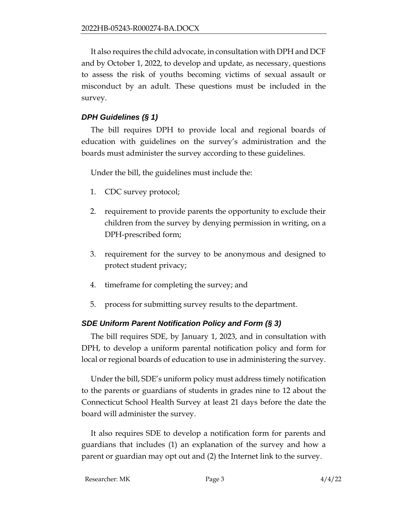It also requires the child advocate, in consultation with DPH and DCF and by October 1, 2022, to develop and update, as necessary, questions to assess the risk of youths becoming victims of sexual assault or misconduct by an adult. These questions must be included in the survey.

### *DPH Guidelines (§ 1)*

The bill requires DPH to provide local and regional boards of education with guidelines on the survey's administration and the boards must administer the survey according to these guidelines.

Under the bill, the guidelines must include the:

- 1. CDC survey protocol;
- 2. requirement to provide parents the opportunity to exclude their children from the survey by denying permission in writing, on a DPH-prescribed form;
- 3. requirement for the survey to be anonymous and designed to protect student privacy;
- 4. timeframe for completing the survey; and
- 5. process for submitting survey results to the department.

#### *SDE Uniform Parent Notification Policy and Form (§ 3)*

The bill requires SDE, by January 1, 2023, and in consultation with DPH, to develop a uniform parental notification policy and form for local or regional boards of education to use in administering the survey.

Under the bill, SDE's uniform policy must address timely notification to the parents or guardians of students in grades nine to 12 about the Connecticut School Health Survey at least 21 days before the date the board will administer the survey.

It also requires SDE to develop a notification form for parents and guardians that includes (1) an explanation of the survey and how a parent or guardian may opt out and (2) the Internet link to the survey.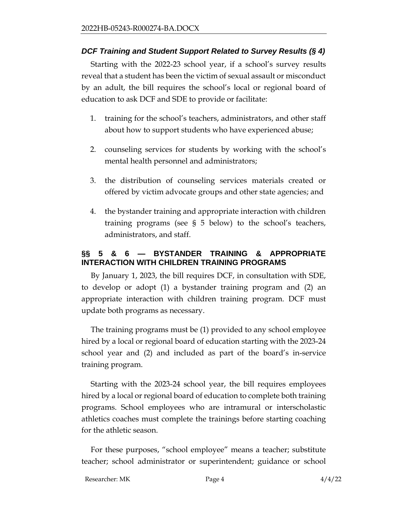#### *DCF Training and Student Support Related to Survey Results (§ 4)*

Starting with the 2022-23 school year, if a school's survey results reveal that a student has been the victim of sexual assault or misconduct by an adult, the bill requires the school's local or regional board of education to ask DCF and SDE to provide or facilitate:

- 1. training for the school's teachers, administrators, and other staff about how to support students who have experienced abuse;
- 2. counseling services for students by working with the school's mental health personnel and administrators;
- 3. the distribution of counseling services materials created or offered by victim advocate groups and other state agencies; and
- 4. the bystander training and appropriate interaction with children training programs (see § 5 below) to the school's teachers, administrators, and staff.

#### **§§ 5 & 6 — BYSTANDER TRAINING & APPROPRIATE INTERACTION WITH CHILDREN TRAINING PROGRAMS**

By January 1, 2023, the bill requires DCF, in consultation with SDE, to develop or adopt (1) a bystander training program and (2) an appropriate interaction with children training program. DCF must update both programs as necessary.

The training programs must be (1) provided to any school employee hired by a local or regional board of education starting with the 2023-24 school year and (2) and included as part of the board's in-service training program.

Starting with the 2023-24 school year, the bill requires employees hired by a local or regional board of education to complete both training programs. School employees who are intramural or interscholastic athletics coaches must complete the trainings before starting coaching for the athletic season.

For these purposes, "school employee" means a teacher; substitute teacher; school administrator or superintendent; guidance or school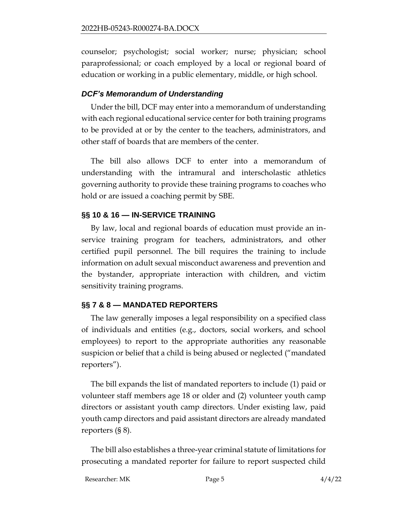counselor; psychologist; social worker; nurse; physician; school paraprofessional; or coach employed by a local or regional board of education or working in a public elementary, middle, or high school.

### *DCF's Memorandum of Understanding*

Under the bill, DCF may enter into a memorandum of understanding with each regional educational service center for both training programs to be provided at or by the center to the teachers, administrators, and other staff of boards that are members of the center.

The bill also allows DCF to enter into a memorandum of understanding with the intramural and interscholastic athletics governing authority to provide these training programs to coaches who hold or are issued a coaching permit by SBE.

## **§§ 10 & 16 — IN-SERVICE TRAINING**

By law, local and regional boards of education must provide an inservice training program for teachers, administrators, and other certified pupil personnel. The bill requires the training to include information on adult sexual misconduct awareness and prevention and the bystander, appropriate interaction with children, and victim sensitivity training programs.

## **§§ 7 & 8 — MANDATED REPORTERS**

The law generally imposes a legal responsibility on a specified class of individuals and entities (e.g., doctors, social workers, and school employees) to report to the appropriate authorities any reasonable suspicion or belief that a child is being abused or neglected ("mandated reporters").

The bill expands the list of mandated reporters to include (1) paid or volunteer staff members age 18 or older and (2) volunteer youth camp directors or assistant youth camp directors. Under existing law, paid youth camp directors and paid assistant directors are already mandated reporters (§ 8).

The bill also establishes a three-year criminal statute of limitations for prosecuting a mandated reporter for failure to report suspected child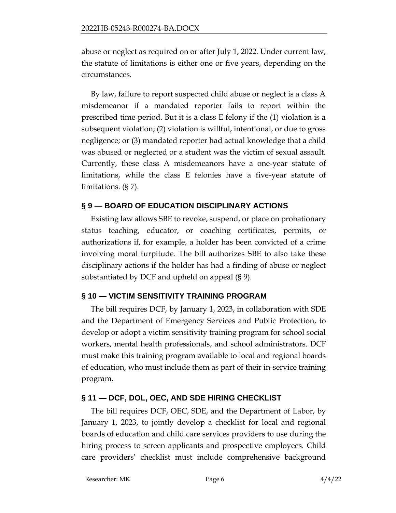abuse or neglect as required on or after July 1, 2022. Under current law, the statute of limitations is either one or five years, depending on the circumstances.

By law, failure to report suspected child abuse or neglect is a class A misdemeanor if a mandated reporter fails to report within the prescribed time period. But it is a class E felony if the (1) violation is a subsequent violation; (2) violation is willful, intentional, or due to gross negligence; or (3) mandated reporter had actual knowledge that a child was abused or neglected or a student was the victim of sexual assault. Currently, these class A misdemeanors have a one-year statute of limitations, while the class E felonies have a five-year statute of limitations. (§ 7).

#### **§ 9 — BOARD OF EDUCATION DISCIPLINARY ACTIONS**

Existing law allows SBE to revoke, suspend, or place on probationary status teaching, educator, or coaching certificates, permits, or authorizations if, for example, a holder has been convicted of a crime involving moral turpitude. The bill authorizes SBE to also take these disciplinary actions if the holder has had a finding of abuse or neglect substantiated by DCF and upheld on appeal (§ 9).

## **§ 10 — VICTIM SENSITIVITY TRAINING PROGRAM**

The bill requires DCF, by January 1, 2023, in collaboration with SDE and the Department of Emergency Services and Public Protection, to develop or adopt a victim sensitivity training program for school social workers, mental health professionals, and school administrators. DCF must make this training program available to local and regional boards of education, who must include them as part of their in-service training program.

## **§ 11 — DCF, DOL, OEC, AND SDE HIRING CHECKLIST**

The bill requires DCF, OEC, SDE, and the Department of Labor, by January 1, 2023, to jointly develop a checklist for local and regional boards of education and child care services providers to use during the hiring process to screen applicants and prospective employees. Child care providers' checklist must include comprehensive background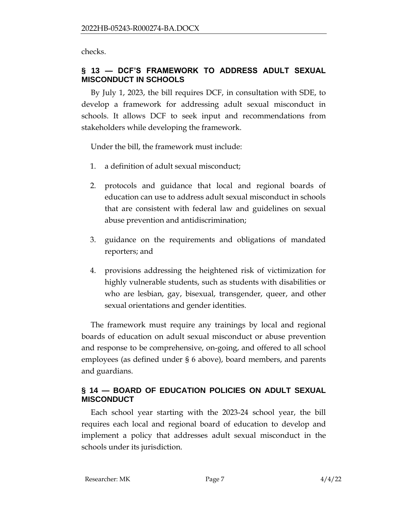checks.

## **§ 13 — DCF'S FRAMEWORK TO ADDRESS ADULT SEXUAL MISCONDUCT IN SCHOOLS**

By July 1, 2023, the bill requires DCF, in consultation with SDE, to develop a framework for addressing adult sexual misconduct in schools. It allows DCF to seek input and recommendations from stakeholders while developing the framework.

Under the bill, the framework must include:

- 1. a definition of adult sexual misconduct;
- 2. protocols and guidance that local and regional boards of education can use to address adult sexual misconduct in schools that are consistent with federal law and guidelines on sexual abuse prevention and antidiscrimination;
- 3. guidance on the requirements and obligations of mandated reporters; and
- 4. provisions addressing the heightened risk of victimization for highly vulnerable students, such as students with disabilities or who are lesbian, gay, bisexual, transgender, queer, and other sexual orientations and gender identities.

The framework must require any trainings by local and regional boards of education on adult sexual misconduct or abuse prevention and response to be comprehensive, on-going, and offered to all school employees (as defined under § 6 above), board members, and parents and guardians.

## **§ 14 — BOARD OF EDUCATION POLICIES ON ADULT SEXUAL MISCONDUCT**

Each school year starting with the 2023-24 school year, the bill requires each local and regional board of education to develop and implement a policy that addresses adult sexual misconduct in the schools under its jurisdiction.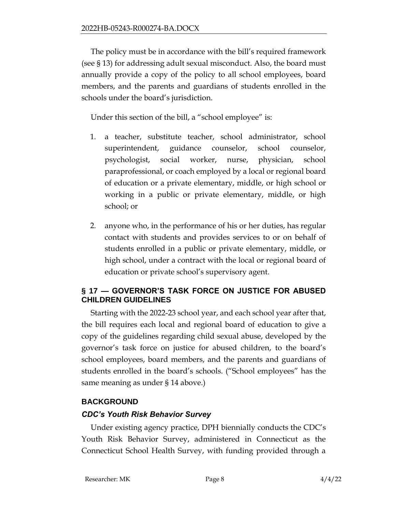The policy must be in accordance with the bill's required framework (see § 13) for addressing adult sexual misconduct. Also, the board must annually provide a copy of the policy to all school employees, board members, and the parents and guardians of students enrolled in the schools under the board's jurisdiction.

Under this section of the bill, a "school employee" is:

- 1. a teacher, substitute teacher, school administrator, school superintendent, guidance counselor, school counselor, psychologist, social worker, nurse, physician, school paraprofessional, or coach employed by a local or regional board of education or a private elementary, middle, or high school or working in a public or private elementary, middle, or high school; or
- 2. anyone who, in the performance of his or her duties, has regular contact with students and provides services to or on behalf of students enrolled in a public or private elementary, middle, or high school, under a contract with the local or regional board of education or private school's supervisory agent.

## **§ 17 — GOVERNOR'S TASK FORCE ON JUSTICE FOR ABUSED CHILDREN GUIDELINES**

Starting with the 2022-23 school year, and each school year after that, the bill requires each local and regional board of education to give a copy of the guidelines regarding child sexual abuse, developed by the governor's task force on justice for abused children, to the board's school employees, board members, and the parents and guardians of students enrolled in the board's schools. ("School employees" has the same meaning as under § 14 above.)

## **BACKGROUND**

## *CDC's Youth Risk Behavior Survey*

Under existing agency practice, DPH biennially conducts the CDC's Youth Risk Behavior Survey, administered in Connecticut as the Connecticut School Health Survey, with funding provided through a